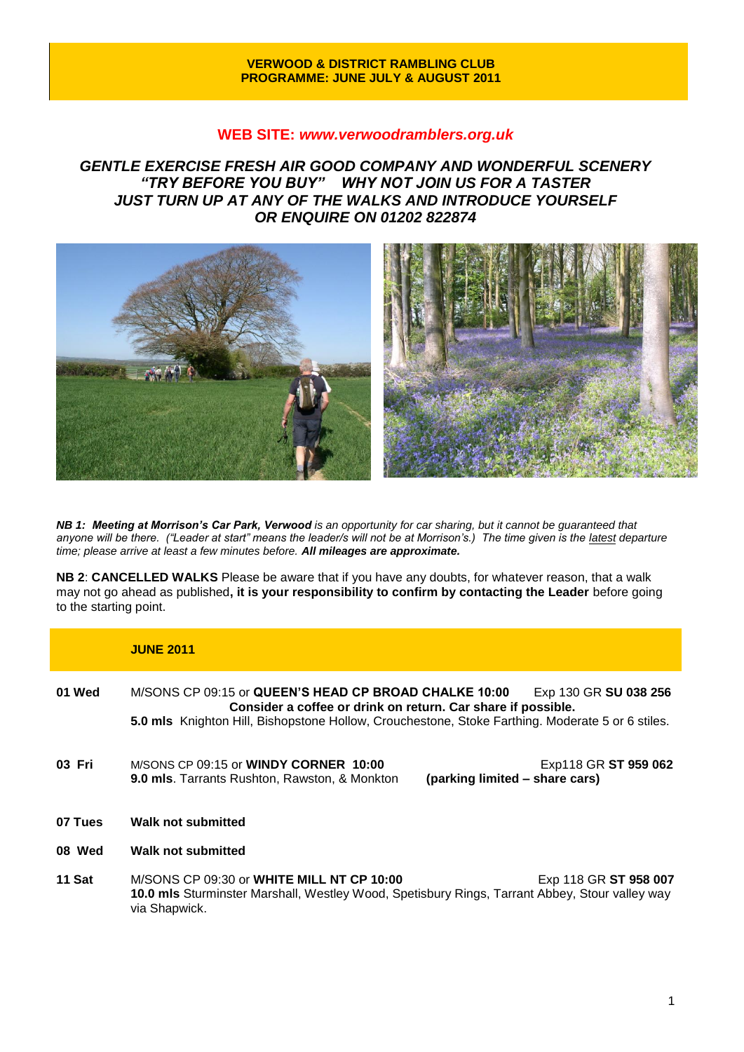#### **VERWOOD & DISTRICT RAMBLING CLUB PROGRAMME: JUNE JULY & AUGUST 2011**

### **WEB SITE:** *[www.verwoodramblers.org.uk](http://www.verwoodramblers.org.uk/)*

*GENTLE EXERCISE FRESH AIR GOOD COMPANY AND WONDERFUL SCENERY "TRY BEFORE YOU BUY" WHY NOT JOIN US FOR A TASTER JUST TURN UP AT ANY OF THE WALKS AND INTRODUCE YOURSELF OR ENQUIRE ON 01202 822874* 



*NB 1: Meeting at Morrison's Car Park, Verwood is an opportunity for car sharing, but it cannot be guaranteed that anyone will be there. ("Leader at start" means the leader/s will not be at Morrison's.) The time given is the latest departure time; please arrive at least a few minutes before. All mileages are approximate.*

**NB 2**: **CANCELLED WALKS** Please be aware that if you have any doubts, for whatever reason, that a walk may not go ahead as published**, it is your responsibility to confirm by contacting the Leader** before going to the starting point.

|         | <b>JUNE 2011</b>                                                                                                                                                                                                                                   |
|---------|----------------------------------------------------------------------------------------------------------------------------------------------------------------------------------------------------------------------------------------------------|
| 01 Wed  | M/SONS CP 09:15 or QUEEN'S HEAD CP BROAD CHALKE 10:00<br>Exp 130 GR SU 038 256<br>Consider a coffee or drink on return. Car share if possible.<br>5.0 mls Knighton Hill, Bishopstone Hollow, Crouchestone, Stoke Farthing. Moderate 5 or 6 stiles. |
| 03 Fri  | M/SONS CP 09:15 or <b>WINDY CORNER 10:00</b><br>Exp118 GR ST 959 062<br>(parking limited – share cars)<br><b>9.0 mls.</b> Tarrants Rushton, Rawston, & Monkton                                                                                     |
| 07 Tues | Walk not submitted                                                                                                                                                                                                                                 |
| 08 Wed  | Walk not submitted                                                                                                                                                                                                                                 |
| 11 Sat  | M/SONS CP 09:30 or WHITE MILL NT CP 10:00<br>Exp 118 GR ST 958 007<br>10.0 mls Sturminster Marshall, Westley Wood, Spetisbury Rings, Tarrant Abbey, Stour valley way<br>via Shapwick.                                                              |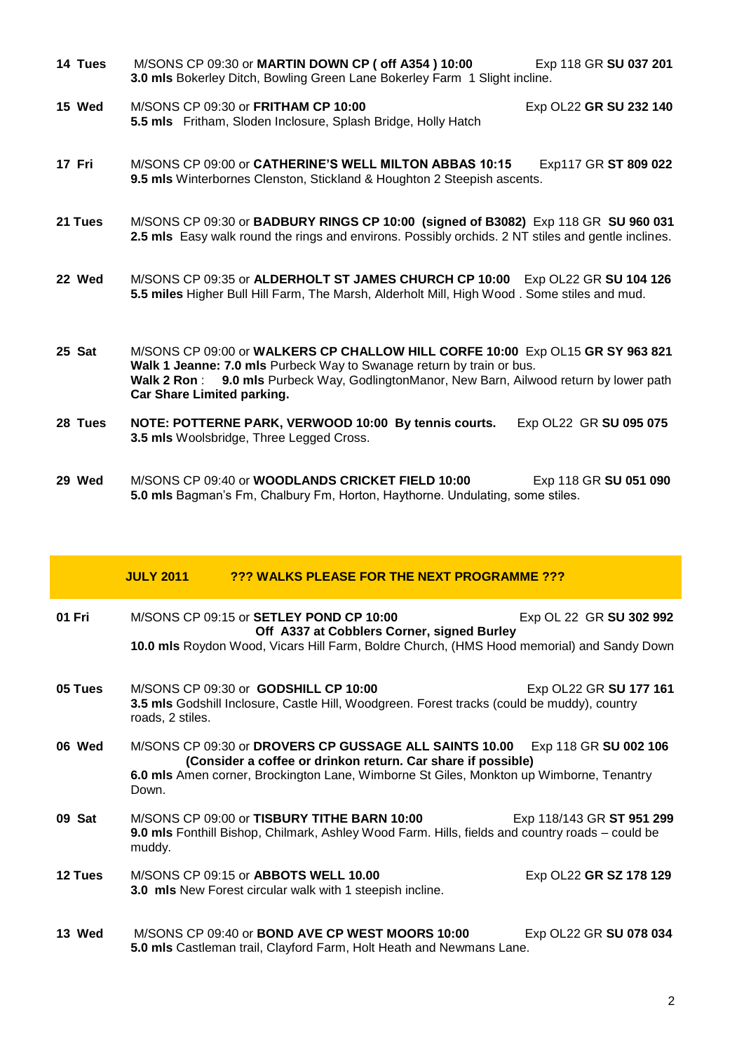| 14 Tues | M/SONS CP 09:30 or MARTIN DOWN CP ( off A354 ) 10:00<br>3.0 mls Bokerley Ditch, Bowling Green Lane Bokerley Farm 1 Slight incline.                                                                                                                                                      | Exp 118 GR SU 037 201  |
|---------|-----------------------------------------------------------------------------------------------------------------------------------------------------------------------------------------------------------------------------------------------------------------------------------------|------------------------|
| 15 Wed  | M/SONS CP 09:30 or FRITHAM CP 10:00<br>5.5 mls Fritham, Sloden Inclosure, Splash Bridge, Holly Hatch                                                                                                                                                                                    | Exp OL22 GR SU 232 140 |
| 17 Fri  | M/SONS CP 09:00 or CATHERINE'S WELL MILTON ABBAS 10:15<br>9.5 mls Winterbornes Clenston, Stickland & Houghton 2 Steepish ascents.                                                                                                                                                       | Exp117 GR ST 809 022   |
| 21 Tues | M/SONS CP 09:30 or BADBURY RINGS CP 10:00 (signed of B3082) Exp 118 GR SU 960 031<br>2.5 mls Easy walk round the rings and environs. Possibly orchids. 2 NT stiles and gentle inclines.                                                                                                 |                        |
| 22 Wed  | M/SONS CP 09:35 or ALDERHOLT ST JAMES CHURCH CP 10:00 Exp OL22 GR SU 104 126<br>5.5 miles Higher Bull Hill Farm, The Marsh, Alderholt Mill, High Wood. Some stiles and mud.                                                                                                             |                        |
| 25 Sat  | M/SONS CP 09:00 or WALKERS CP CHALLOW HILL CORFE 10:00 Exp OL15 GR SY 963 821<br>Walk 1 Jeanne: 7.0 mls Purbeck Way to Swanage return by train or bus.<br>Walk 2 Ron: 9.0 mls Purbeck Way, GodlingtonManor, New Barn, Ailwood return by lower path<br><b>Car Share Limited parking.</b> |                        |
| 28 Tues | NOTE: POTTERNE PARK, VERWOOD 10:00 By tennis courts.<br>3.5 mls Woolsbridge, Three Legged Cross.                                                                                                                                                                                        | Exp OL22 GR SU 095 075 |
| 29 Wed  | M/SONS CP 09:40 or WOODLANDS CRICKET FIELD 10:00                                                                                                                                                                                                                                        | Exp 118 GR SU 051 090  |

**5.0 mls** Bagman's Fm, Chalbury Fm, Horton, Haythorne. Undulating, some stiles.

|         | <b>JULY 2011</b> | <b>222 WALKS PLEASE FOR THE NEXT PROGRAMME 222</b>                                                                                                                                                                                      |                           |
|---------|------------------|-----------------------------------------------------------------------------------------------------------------------------------------------------------------------------------------------------------------------------------------|---------------------------|
| 01 Fri  |                  | $M/SONS$ CP 09:15 or SETLEY POND CP 10:00<br>Off A337 at Cobblers Corner, signed Burley<br>10.0 mls Roydon Wood, Vicars Hill Farm, Boldre Church, (HMS Hood memorial) and Sandy Down                                                    | Exp OL 22 GR SU 302 992   |
| 05 Tues | roads, 2 stiles. | M/SONS CP 09:30 or GODSHILL CP 10:00<br>3.5 mls Godshill Inclosure, Castle Hill, Woodgreen. Forest tracks (could be muddy), country                                                                                                     | Exp OL22 GR SU 177 161    |
| 06 Wed  | Down.            | M/SONS CP 09:30 or DROVERS CP GUSSAGE ALL SAINTS 10.00 Exp 118 GR SU 002 106<br>(Consider a coffee or drinkon return. Car share if possible)<br>6.0 mls Amen corner, Brockington Lane, Wimborne St Giles, Monkton up Wimborne, Tenantry |                           |
| 09 Sat  | muddy.           | M/SONS CP 09:00 or TISBURY TITHE BARN 10:00<br>9.0 mls Fonthill Bishop, Chilmark, Ashley Wood Farm. Hills, fields and country roads – could be                                                                                          | Exp 118/143 GR ST 951 299 |
| 12 Tues |                  | M/SONS CP 09:15 or ABBOTS WELL 10.00<br>3.0 mls New Forest circular walk with 1 steepish incline.                                                                                                                                       | Exp OL22 GR SZ 178 129    |
| 13 Wed  |                  | M/SONS CP 09:40 or BOND AVE CP WEST MOORS 10:00<br>5.0 mls Castleman trail, Clayford Farm, Holt Heath and Newmans Lane.                                                                                                                 | Exp OL22 GR SU 078 034    |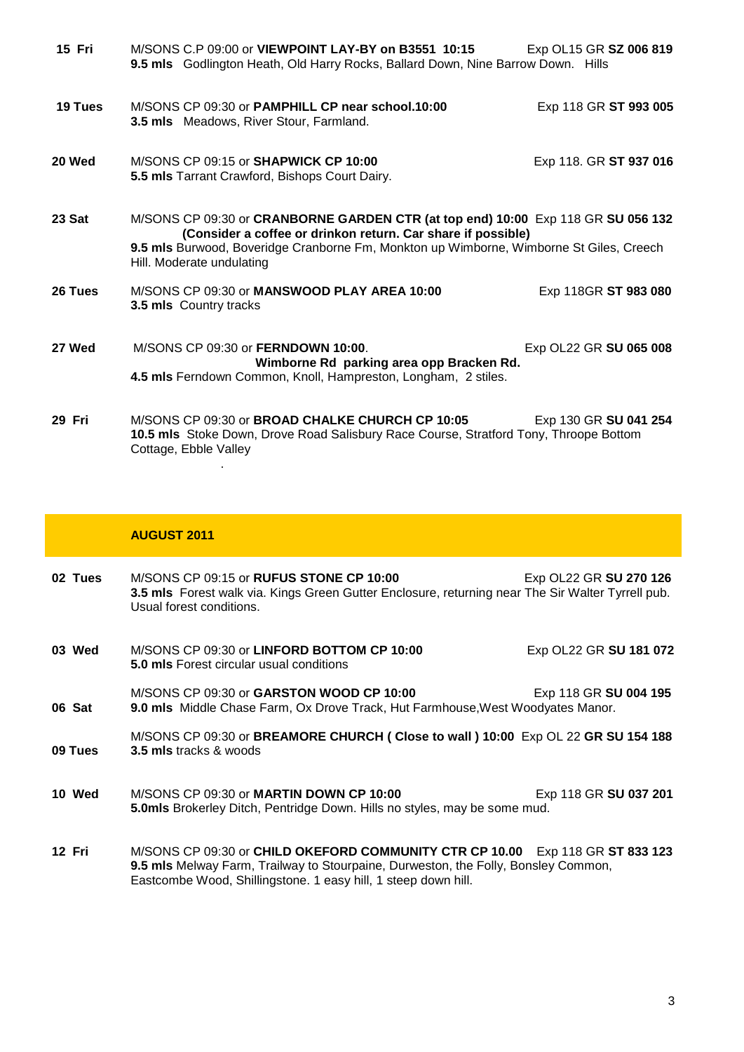| 15 Fri  | M/SONS C.P 09:00 or VIEWPOINT LAY-BY on B3551 10:15<br>9.5 mls Godlington Heath, Old Harry Rocks, Ballard Down, Nine Barrow Down. Hills                                                                                                                                  | Exp OL15 GR SZ 006 819 |
|---------|--------------------------------------------------------------------------------------------------------------------------------------------------------------------------------------------------------------------------------------------------------------------------|------------------------|
| 19 Tues | M/SONS CP 09:30 or PAMPHILL CP near school.10:00<br><b>3.5 mls</b> Meadows, River Stour, Farmland.                                                                                                                                                                       | Exp 118 GR ST 993 005  |
| 20 Wed  | M/SONS CP 09:15 or SHAPWICK CP 10:00<br>5.5 mls Tarrant Crawford, Bishops Court Dairy.                                                                                                                                                                                   | Exp 118. GR ST 937 016 |
| 23 Sat  | M/SONS CP 09:30 or CRANBORNE GARDEN CTR (at top end) 10:00 Exp 118 GR SU 056 132<br>(Consider a coffee or drinkon return. Car share if possible)<br>9.5 mls Burwood, Boveridge Cranborne Fm, Monkton up Wimborne, Wimborne St Giles, Creech<br>Hill. Moderate undulating |                        |
| 26 Tues | M/SONS CP 09:30 or MANSWOOD PLAY AREA 10:00<br>3.5 mls Country tracks                                                                                                                                                                                                    | Exp 118GR ST 983 080   |
| 27 Wed  | M/SONS CP 09:30 or FERNDOWN 10:00.<br>Wimborne Rd parking area opp Bracken Rd.<br>4.5 mls Ferndown Common, Knoll, Hampreston, Longham, 2 stiles.                                                                                                                         | Exp OL22 GR SU 065 008 |
| 29 Fri  | M/SONS CP 09:30 or <b>BROAD CHALKE CHURCH CP 10:05</b><br>10.5 mls Stoke Down, Drove Road Salisbury Race Course, Stratford Tony, Throope Bottom<br>Cottage, Ebble Valley                                                                                                 | Exp 130 GR SU 041 254  |

# **AUGUST 2011**

.

| 02 Tues | M/SONS CP 09:15 or RUFUS STONE CP 10:00<br>3.5 mls Forest walk via. Kings Green Gutter Enclosure, returning near The Sir Walter Tyrrell pub.<br>Usual forest conditions. | Exp OL22 GR SU 270 126 |
|---------|--------------------------------------------------------------------------------------------------------------------------------------------------------------------------|------------------------|
| 03 Wed  | M/SONS CP 09:30 or LINFORD BOTTOM CP 10:00<br><b>5.0 mls</b> Forest circular usual conditions                                                                            | Exp OL22 GR SU 181 072 |
| 06 Sat  | M/SONS CP 09:30 or GARSTON WOOD CP 10:00<br>9.0 mls Middle Chase Farm, Ox Drove Track, Hut Farmhouse, West Woodyates Manor.                                              | Exp 118 GR SU 004 195  |
| 09 Tues | M/SONS CP 09:30 or BREAMORE CHURCH (Close to wall) 10:00 Exp OL 22 GR SU 154 188<br><b>3.5 mls</b> tracks & woods                                                        |                        |
| 10 Wed  | M/SONS CP 09:30 or <b>MARTIN DOWN CP 10:00</b><br><b>5.0mls</b> Brokerley Ditch, Pentridge Down. Hills no styles, may be some mud.                                       | Exp 118 GR SU 037 201  |
| 12 Fri  | M/SONS CP 09:30 or CHILD OKEFORD COMMUNITY CTR CP 10.00 Exp 118 GR ST 833 123<br>9.5 mls Melway Farm, Trailway to Stourpaine, Durweston, the Folly, Bonsley Common,      |                        |

Eastcombe Wood, Shillingstone. 1 easy hill, 1 steep down hill.